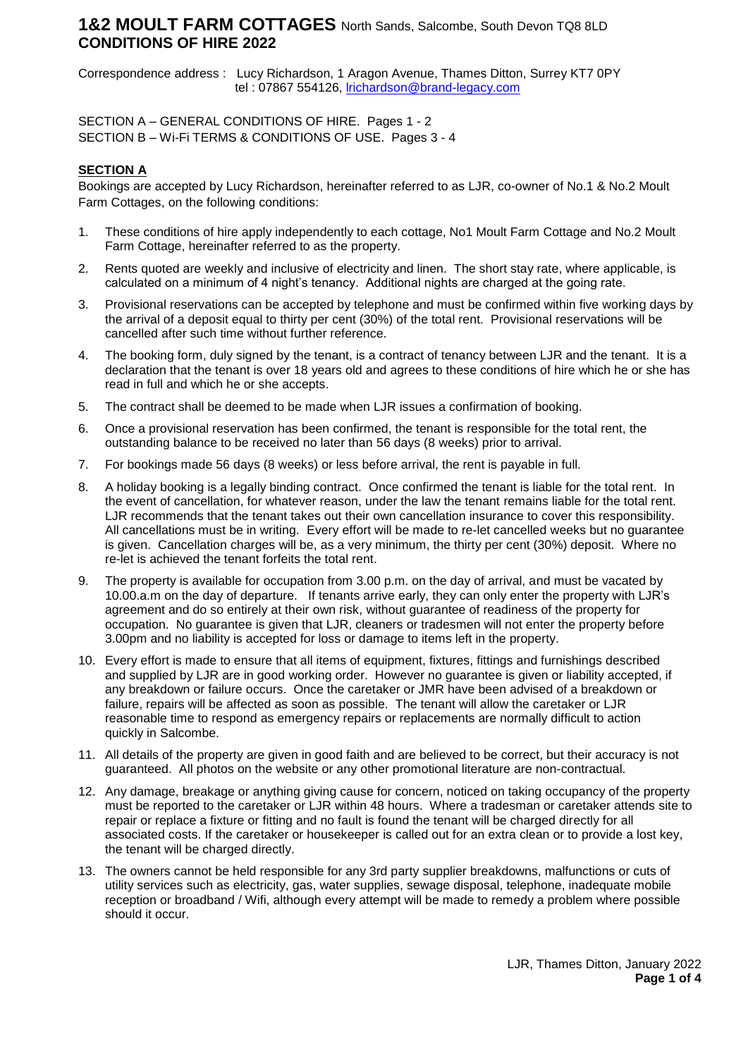## **1&2 MOULT FARM COTTAGES** North Sands, Salcombe, South Devon TQ8 8LD **CONDITIONS OF HIRE 2022**

Correspondence address : Lucy Richardson, 1 Aragon Avenue, Thames Ditton, Surrey KT7 0PY tel : 07867 554126, **Irichardson@brand-legacy.com** 

SECTION A – GENERAL CONDITIONS OF HIRE. Pages 1 - 2 SECTION B – Wi-Fi TERMS & CONDITIONS OF USE. Pages 3 - 4

### **SECTION A**

Bookings are accepted by Lucy Richardson, hereinafter referred to as LJR, co-owner of No.1 & No.2 Moult Farm Cottages, on the following conditions:

- 1. These conditions of hire apply independently to each cottage, No1 Moult Farm Cottage and No.2 Moult Farm Cottage, hereinafter referred to as the property.
- 2. Rents quoted are weekly and inclusive of electricity and linen. The short stay rate, where applicable, is calculated on a minimum of 4 night's tenancy. Additional nights are charged at the going rate.
- 3. Provisional reservations can be accepted by telephone and must be confirmed within five working days by the arrival of a deposit equal to thirty per cent (30%) of the total rent. Provisional reservations will be cancelled after such time without further reference.
- 4. The booking form, duly signed by the tenant, is a contract of tenancy between LJR and the tenant. It is a declaration that the tenant is over 18 years old and agrees to these conditions of hire which he or she has read in full and which he or she accepts.
- 5. The contract shall be deemed to be made when LJR issues a confirmation of booking.
- 6. Once a provisional reservation has been confirmed, the tenant is responsible for the total rent, the outstanding balance to be received no later than 56 days (8 weeks) prior to arrival.
- 7. For bookings made 56 days (8 weeks) or less before arrival, the rent is payable in full.
- 8. A holiday booking is a legally binding contract. Once confirmed the tenant is liable for the total rent. In the event of cancellation, for whatever reason, under the law the tenant remains liable for the total rent. LJR recommends that the tenant takes out their own cancellation insurance to cover this responsibility. All cancellations must be in writing. Every effort will be made to re-let cancelled weeks but no guarantee is given. Cancellation charges will be, as a very minimum, the thirty per cent (30%) deposit. Where no re-let is achieved the tenant forfeits the total rent.
- 9. The property is available for occupation from 3.00 p.m. on the day of arrival, and must be vacated by 10.00.a.m on the day of departure. If tenants arrive early, they can only enter the property with LJR's agreement and do so entirely at their own risk, without guarantee of readiness of the property for occupation. No guarantee is given that LJR, cleaners or tradesmen will not enter the property before 3.00pm and no liability is accepted for loss or damage to items left in the property.
- 10. Every effort is made to ensure that all items of equipment, fixtures, fittings and furnishings described and supplied by LJR are in good working order. However no guarantee is given or liability accepted, if any breakdown or failure occurs. Once the caretaker or JMR have been advised of a breakdown or failure, repairs will be affected as soon as possible. The tenant will allow the caretaker or LJR reasonable time to respond as emergency repairs or replacements are normally difficult to action quickly in Salcombe.
- 11. All details of the property are given in good faith and are believed to be correct, but their accuracy is not guaranteed. All photos on the website or any other promotional literature are non-contractual.
- 12. Any damage, breakage or anything giving cause for concern, noticed on taking occupancy of the property must be reported to the caretaker or LJR within 48 hours. Where a tradesman or caretaker attends site to repair or replace a fixture or fitting and no fault is found the tenant will be charged directly for all associated costs. If the caretaker or housekeeper is called out for an extra clean or to provide a lost key, the tenant will be charged directly.
- 13. The owners cannot be held responsible for any 3rd party supplier breakdowns, malfunctions or cuts of utility services such as electricity, gas, water supplies, sewage disposal, telephone, inadequate mobile reception or broadband / Wifi, although every attempt will be made to remedy a problem where possible should it occur.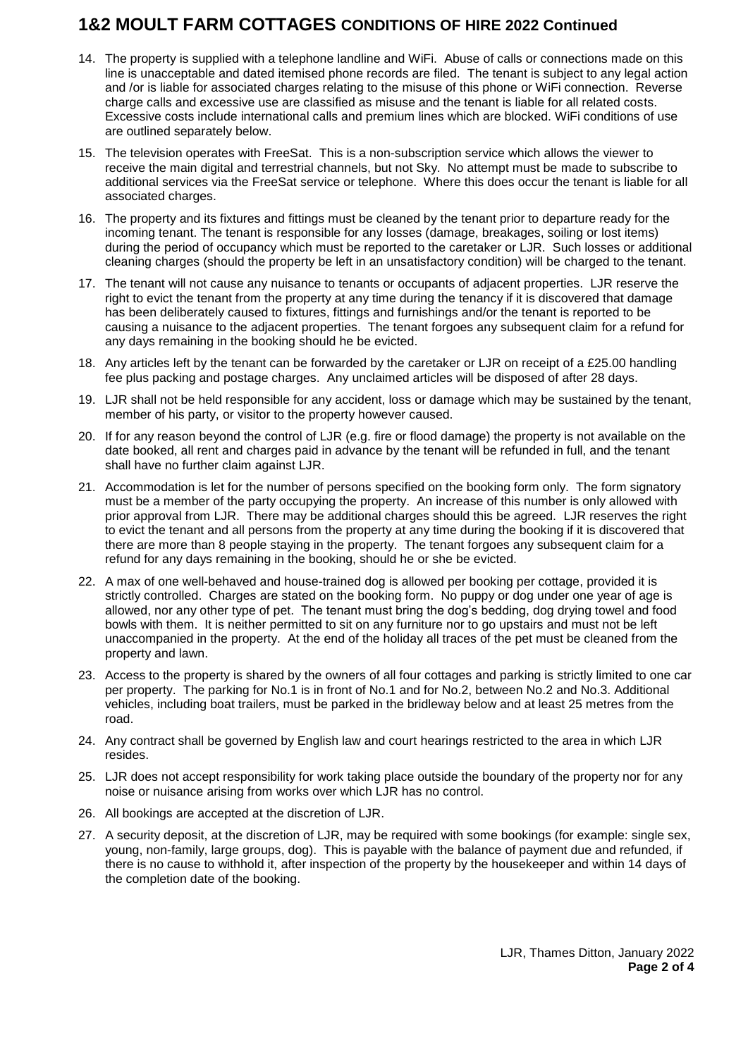# **1&2 MOULT FARM COTTAGES CONDITIONS OF HIRE 2022 Continued**

- 14. The property is supplied with a telephone landline and WiFi. Abuse of calls or connections made on this line is unacceptable and dated itemised phone records are filed. The tenant is subject to any legal action and /or is liable for associated charges relating to the misuse of this phone or WiFi connection. Reverse charge calls and excessive use are classified as misuse and the tenant is liable for all related costs. Excessive costs include international calls and premium lines which are blocked. WiFi conditions of use are outlined separately below.
- 15. The television operates with FreeSat. This is a non-subscription service which allows the viewer to receive the main digital and terrestrial channels, but not Sky. No attempt must be made to subscribe to additional services via the FreeSat service or telephone. Where this does occur the tenant is liable for all associated charges.
- 16. The property and its fixtures and fittings must be cleaned by the tenant prior to departure ready for the incoming tenant. The tenant is responsible for any losses (damage, breakages, soiling or lost items) during the period of occupancy which must be reported to the caretaker or LJR. Such losses or additional cleaning charges (should the property be left in an unsatisfactory condition) will be charged to the tenant.
- 17. The tenant will not cause any nuisance to tenants or occupants of adjacent properties. LJR reserve the right to evict the tenant from the property at any time during the tenancy if it is discovered that damage has been deliberately caused to fixtures, fittings and furnishings and/or the tenant is reported to be causing a nuisance to the adjacent properties. The tenant forgoes any subsequent claim for a refund for any days remaining in the booking should he be evicted.
- 18. Any articles left by the tenant can be forwarded by the caretaker or LJR on receipt of a £25.00 handling fee plus packing and postage charges. Any unclaimed articles will be disposed of after 28 days.
- 19. LJR shall not be held responsible for any accident, loss or damage which may be sustained by the tenant, member of his party, or visitor to the property however caused.
- 20. If for any reason beyond the control of LJR (e.g. fire or flood damage) the property is not available on the date booked, all rent and charges paid in advance by the tenant will be refunded in full, and the tenant shall have no further claim against LJR.
- 21. Accommodation is let for the number of persons specified on the booking form only. The form signatory must be a member of the party occupying the property. An increase of this number is only allowed with prior approval from LJR. There may be additional charges should this be agreed. LJR reserves the right to evict the tenant and all persons from the property at any time during the booking if it is discovered that there are more than 8 people staying in the property. The tenant forgoes any subsequent claim for a refund for any days remaining in the booking, should he or she be evicted.
- 22. A max of one well-behaved and house-trained dog is allowed per booking per cottage, provided it is strictly controlled. Charges are stated on the booking form. No puppy or dog under one year of age is allowed, nor any other type of pet. The tenant must bring the dog's bedding, dog drying towel and food bowls with them. It is neither permitted to sit on any furniture nor to go upstairs and must not be left unaccompanied in the property. At the end of the holiday all traces of the pet must be cleaned from the property and lawn.
- 23. Access to the property is shared by the owners of all four cottages and parking is strictly limited to one car per property. The parking for No.1 is in front of No.1 and for No.2, between No.2 and No.3. Additional vehicles, including boat trailers, must be parked in the bridleway below and at least 25 metres from the road.
- 24. Any contract shall be governed by English law and court hearings restricted to the area in which LJR resides.
- 25. LJR does not accept responsibility for work taking place outside the boundary of the property nor for any noise or nuisance arising from works over which LJR has no control.
- 26. All bookings are accepted at the discretion of LJR.
- 27. A security deposit, at the discretion of LJR, may be required with some bookings (for example: single sex, young, non-family, large groups, dog). This is payable with the balance of payment due and refunded, if there is no cause to withhold it, after inspection of the property by the housekeeper and within 14 days of the completion date of the booking.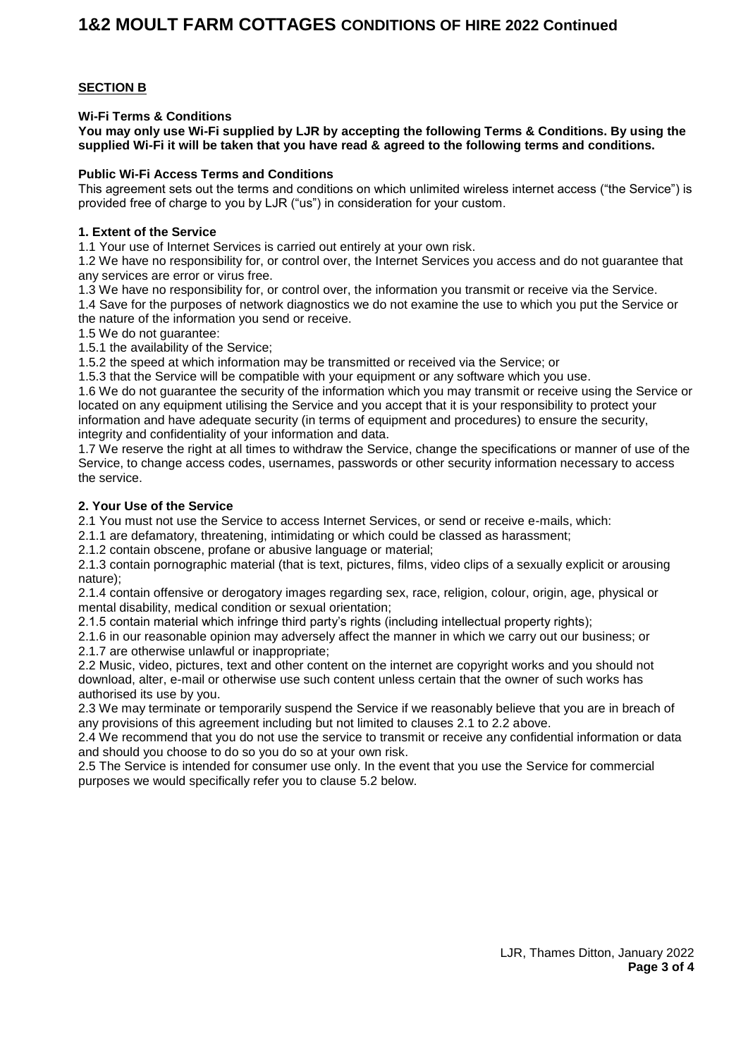### **SECTION B**

**Wi-Fi Terms & Conditions**

**You may only use Wi-Fi supplied by LJR by accepting the following Terms & Conditions. By using the supplied Wi-Fi it will be taken that you have read & agreed to the following terms and conditions.**

#### **Public Wi-Fi Access Terms and Conditions**

This agreement sets out the terms and conditions on which unlimited wireless internet access ("the Service") is provided free of charge to you by LJR ("us") in consideration for your custom.

#### **1. Extent of the Service**

1.1 Your use of Internet Services is carried out entirely at your own risk.

1.2 We have no responsibility for, or control over, the Internet Services you access and do not guarantee that any services are error or virus free.

1.3 We have no responsibility for, or control over, the information you transmit or receive via the Service.

1.4 Save for the purposes of network diagnostics we do not examine the use to which you put the Service or the nature of the information you send or receive.

1.5 We do not guarantee:

1.5.1 the availability of the Service;

1.5.2 the speed at which information may be transmitted or received via the Service; or

1.5.3 that the Service will be compatible with your equipment or any software which you use.

1.6 We do not guarantee the security of the information which you may transmit or receive using the Service or located on any equipment utilising the Service and you accept that it is your responsibility to protect your information and have adequate security (in terms of equipment and procedures) to ensure the security, integrity and confidentiality of your information and data.

1.7 We reserve the right at all times to withdraw the Service, change the specifications or manner of use of the Service, to change access codes, usernames, passwords or other security information necessary to access the service.

#### **2. Your Use of the Service**

2.1 You must not use the Service to access Internet Services, or send or receive e-mails, which:

2.1.1 are defamatory, threatening, intimidating or which could be classed as harassment;

2.1.2 contain obscene, profane or abusive language or material;

2.1.3 contain pornographic material (that is text, pictures, films, video clips of a sexually explicit or arousing nature);

2.1.4 contain offensive or derogatory images regarding sex, race, religion, colour, origin, age, physical or mental disability, medical condition or sexual orientation;

2.1.5 contain material which infringe third party's rights (including intellectual property rights);

2.1.6 in our reasonable opinion may adversely affect the manner in which we carry out our business; or 2.1.7 are otherwise unlawful or inappropriate;

2.2 Music, video, pictures, text and other content on the internet are copyright works and you should not download, alter, e-mail or otherwise use such content unless certain that the owner of such works has authorised its use by you.

2.3 We may terminate or temporarily suspend the Service if we reasonably believe that you are in breach of any provisions of this agreement including but not limited to clauses 2.1 to 2.2 above.

2.4 We recommend that you do not use the service to transmit or receive any confidential information or data and should you choose to do so you do so at your own risk.

2.5 The Service is intended for consumer use only. In the event that you use the Service for commercial purposes we would specifically refer you to clause 5.2 below.